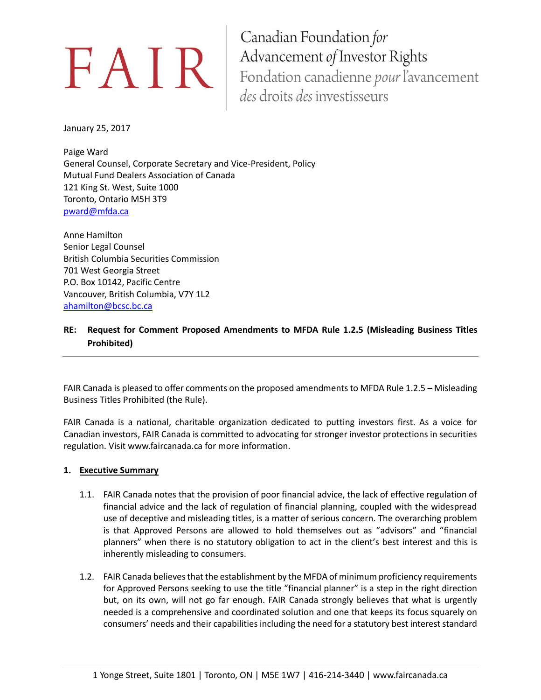Canadian Foundation for EAIR | Advancement of Investor Rights<br>
Fondation canadienne *pour* l'avancement des droits des investisseurs

January 25, 2017

Paige Ward General Counsel, Corporate Secretary and Vice-President, Policy Mutual Fund Dealers Association of Canada 121 King St. West, Suite 1000 Toronto, Ontario M5H 3T9 [pward@mfda.ca](mailto:pward@mfda.ca)

Anne Hamilton Senior Legal Counsel British Columbia Securities Commission 701 West Georgia Street P.O. Box 10142, Pacific Centre Vancouver, British Columbia, V7Y 1L2 [ahamilton@bcsc.bc.ca](mailto:ahamilton@bcsc.bc.ca)

**RE: Request for Comment Proposed Amendments to MFDA Rule 1.2.5 (Misleading Business Titles Prohibited)**

FAIR Canada is pleased to offer comments on the proposed amendments to MFDA Rule 1.2.5 – Misleading Business Titles Prohibited (the Rule).

FAIR Canada is a national, charitable organization dedicated to putting investors first. As a voice for Canadian investors, FAIR Canada is committed to advocating for stronger investor protections in securities regulation. Visit www.faircanada.ca for more information.

## **1. Executive Summary**

- 1.1. FAIR Canada notes that the provision of poor financial advice, the lack of effective regulation of financial advice and the lack of regulation of financial planning, coupled with the widespread use of deceptive and misleading titles, is a matter of serious concern. The overarching problem is that Approved Persons are allowed to hold themselves out as "advisors" and "financial planners" when there is no statutory obligation to act in the client's best interest and this is inherently misleading to consumers.
- 1.2. FAIR Canada believes that the establishment by the MFDA of minimum proficiency requirements for Approved Persons seeking to use the title "financial planner" is a step in the right direction but, on its own, will not go far enough. FAIR Canada strongly believes that what is urgently needed is a comprehensive and coordinated solution and one that keeps its focus squarely on consumers' needs and their capabilities including the need for a statutory best interest standard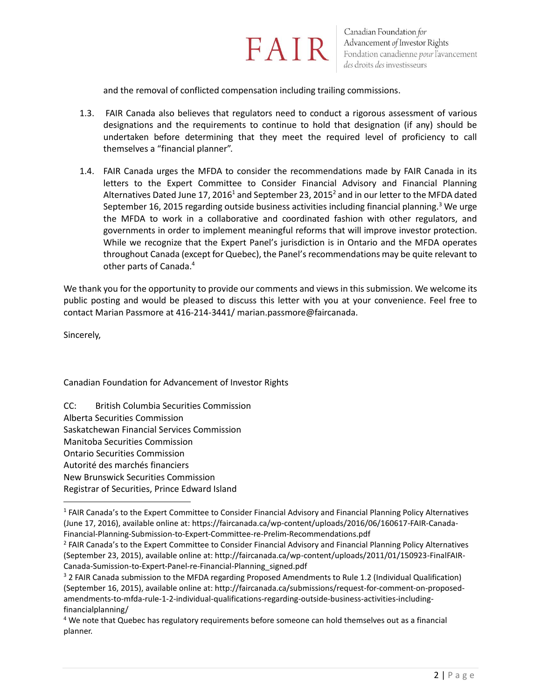

and the removal of conflicted compensation including trailing commissions.

- 1.3. FAIR Canada also believes that regulators need to conduct a rigorous assessment of various designations and the requirements to continue to hold that designation (if any) should be undertaken before determining that they meet the required level of proficiency to call themselves a "financial planner".
- 1.4. FAIR Canada urges the MFDA to consider the recommendations made by FAIR Canada in its letters to the Expert Committee to Consider Financial Advisory and Financial Planning Alternatives Dated June 17, 2016<sup>1</sup> and September 23, 2015<sup>2</sup> and in our letter to the MFDA dated September 16, 2015 regarding outside business activities including financial planning.<sup>3</sup> We urge the MFDA to work in a collaborative and coordinated fashion with other regulators, and governments in order to implement meaningful reforms that will improve investor protection. While we recognize that the Expert Panel's jurisdiction is in Ontario and the MFDA operates throughout Canada (except for Quebec), the Panel's recommendations may be quite relevant to other parts of Canada.<sup>4</sup>

We thank you for the opportunity to provide our comments and views in this submission. We welcome its public posting and would be pleased to discuss this letter with you at your convenience. Feel free to contact Marian Passmore at 416-214-3441/ marian.passmore@faircanada.

Sincerely,

 $\overline{\phantom{a}}$ 

Canadian Foundation for Advancement of Investor Rights

CC: British Columbia Securities Commission Alberta Securities Commission Saskatchewan Financial Services Commission Manitoba Securities Commission Ontario Securities Commission Autorité des marchés financiers New Brunswick Securities Commission Registrar of Securities, Prince Edward Island

<sup>&</sup>lt;sup>1</sup> FAIR Canada's to the Expert Committee to Consider Financial Advisory and Financial Planning Policy Alternatives (June 17, 2016), available online at: https://faircanada.ca/wp-content/uploads/2016/06/160617-FAIR-Canada-Financial-Planning-Submission-to-Expert-Committee-re-Prelim-Recommendations.pdf

<sup>&</sup>lt;sup>2</sup> FAIR Canada's to the Expert Committee to Consider Financial Advisory and Financial Planning Policy Alternatives (September 23, 2015), available online at: http://faircanada.ca/wp-content/uploads/2011/01/150923-FinalFAIR-Canada-Sumission-to-Expert-Panel-re-Financial-Planning\_signed.pdf

<sup>&</sup>lt;sup>3</sup> 2 FAIR Canada submission to the MFDA regarding Proposed Amendments to Rule 1.2 (Individual Qualification) (September 16, 2015), available online at: http://faircanada.ca/submissions/request-for-comment-on-proposedamendments-to-mfda-rule-1-2-individual-qualifications-regarding-outside-business-activities-includingfinancialplanning/

<sup>&</sup>lt;sup>4</sup> We note that Quebec has regulatory requirements before someone can hold themselves out as a financial planner.